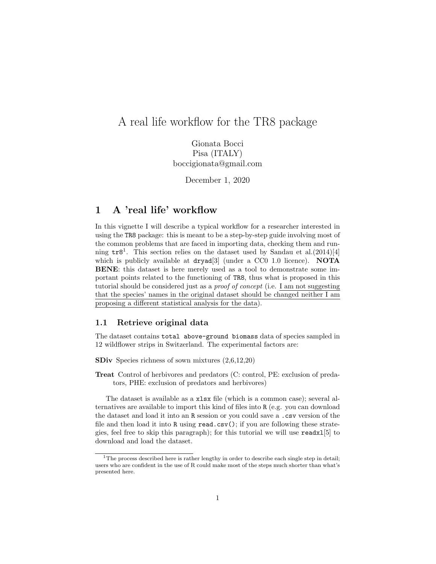# A real life workflow for the TR8 package

Gionata Bocci Pisa (ITALY) boccigionata@gmail.com

December 1, 2020

## 1 A 'real life' workflow

In this vignette I will describe a typical workflow for a researcher interested in using the TR8 package: this is meant to be a step-by-step guide involving most of the common problems that are faced in importing data, checking them and running  $tr8^1$ . This section relies on the dataset used by Sandau et al.(2014)[4] which is publicly available at  $\frac{d\mathbf{r}}{d}$  (under a CC0 1.0 licence). **NOTA** BENE: this dataset is here merely used as a tool to demonstrate some important points related to the functioning of TR8, thus what is proposed in this tutorial should be considered just as a proof of concept (i.e. I am not suggesting that the species' names in the original dataset should be changed neither I am proposing a different statistical analysis for the data).

#### 1.1 Retrieve original data

The dataset contains total above-ground biomass data of species sampled in 12 wildflower strips in Switzerland. The experimental factors are:

SDiv Species richness of sown mixtures (2,6,12,20)

Treat Control of herbivores and predators (C: control, PE: exclusion of predators, PHE: exclusion of predators and herbivores)

The dataset is available as a xlsx file (which is a common case); several alternatives are available to import this kind of files into R (e.g. you can download the dataset and load it into an R session or you could save a .csv version of the file and then load it into R using read.csv(); if you are following these strategies, feel free to skip this paragraph); for this tutorial we will use readxl[5] to download and load the dataset.

 $1$ The process described here is rather lengthy in order to describe each single step in detail; users who are confident in the use of R could make most of the steps much shorter than what's presented here.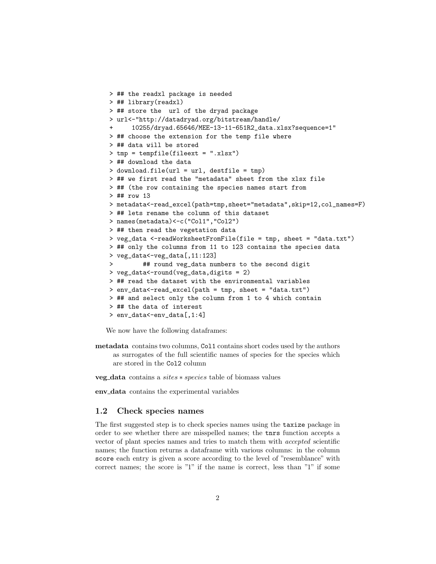```
> ## the readxl package is needed
> ## library(readxl)
> ## store the url of the dryad package
> url<-"http://datadryad.org/bitstream/handle/
      + 10255/dryad.65646/MEE-13-11-651R2_data.xlsx?sequence=1"
> ## choose the extension for the temp file where
> ## data will be stored
> tmp = tempfile(fileext = ".xlsx")
> ## download the data
> download.file(url = url, destfile = tmp)
> ## we first read the "metadata" sheet from the xlsx file
> ## (the row containing the species names start from
> ## row 13
> metadata<-read_excel(path=tmp,sheet="metadata",skip=12,col_names=F)
> ## lets rename the column of this dataset
> names(metadata)<-c("Col1","Col2")
> ## then read the vegetation data
> veg_data <-readWorksheetFromFile(file = tmp, sheet = "data.txt")
> ## only the columns from 11 to 123 contains the species data
> veg_data<-veg_data[,11:123]
> ## round veg_data numbers to the second digit
> veg_data<-round(veg_data,digits = 2)
> ## read the dataset with the environmental variables
> env_data<-read_excel(path = tmp, sheet = "data.txt")
> ## and select only the column from 1 to 4 which contain
> ## the data of interest
> env_data<-env_data[,1:4]
```
We now have the following dataframes:

metadata contains two columns, Col1 contains short codes used by the authors as surrogates of the full scientific names of species for the species which are stored in the Col2 column

veg data contains a sites ∗ species table of biomass values

env data contains the experimental variables

#### 1.2 Check species names

The first suggested step is to check species names using the taxize package in order to see whether there are misspelled names; the tnrs function accepts a vector of plant species names and tries to match them with accepted scientific names; the function returns a dataframe with various columns: in the column score each entry is given a score according to the level of "resemblance" with correct names; the score is "1" if the name is correct, less than "1" if some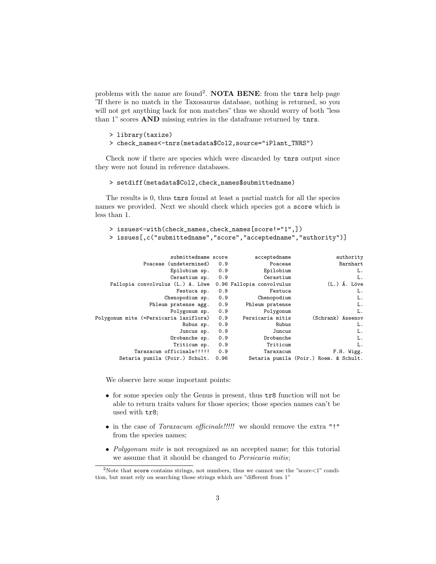problems with the name are found<sup>2</sup>. NOTA BENE: from the tnrs help page "If there is no match in the Taxosaurus database, nothing is returned, so you will not get anything back for non matches" thus we should worry of both "less than 1" scores AND missing entries in the dataframe returned by tnrs.

```
> library(taxize)
> check_names<-tnrs(metadata$Col2,source="iPlant_TNRS")
```
Check now if there are species which were discarded by tnrs output since they were not found in reference databases.

```
> setdiff(metadata$Col2,check_names$submittedname)
```
The results is 0, thus tnrs found at least a partial match for all the species names we provided. Next we should check which species got a score which is less than 1.

```
> issues<-with(check_names,check_names[score!="1",])
> issues[,c("submittedname","score","acceptedname","authority")]
```

| authority                              | acceptedname              |      | submittedname score                    |
|----------------------------------------|---------------------------|------|----------------------------------------|
| Barnhart                               | Poaceae                   | 0.9  | Poaceae (undetermined)                 |
| L.                                     | Epilobium                 | 0.9  | Epilobium sp.                          |
| L.                                     | Cerastium                 | 0.9  | Cerastium sp.                          |
| (L.) Á. Löve                           | 0.96 Fallopia convolvulus |      | Fallopia convolvulus (L.) A. Löwe      |
| L.                                     | Festuca                   | 0.9  | Festuca sp.                            |
| L.                                     | Chenopodium               | 0.9  | Chenopodium sp.                        |
| L.                                     | Phleum pratense           | 0.9  | Phleum pratense agg.                   |
| L.                                     | Polygonum                 | 0.9  | Polygonum sp.                          |
| (Schrank) Assenov                      | Persicaria mitis          | 0.9  | Polygonum mite (=Persicaria laxiflora) |
| L.                                     | Rubus                     | 0.9  | Rubus sp.                              |
| L.                                     | Juncus                    | 0.9  | Juncus sp.                             |
| L.                                     | Orobanche                 | 0.9  | Orobanche sp.                          |
| L.                                     | Triticum                  | 0.9  | Triticum sp.                           |
| F.H. Wigg.                             | Taraxacum                 | 0.9  | Taraxacum officinale!!!!!              |
| Setaria pumila (Poir.) Roem. & Schult. |                           | 0.96 | Setaria pumila (Poir.) Schult.         |
|                                        |                           |      |                                        |

We observe here some important points:

- for some species only the Genus is present, thus tr8 function will not be able to return traits values for those species; those species names can't be used with tr8;
- in the case of *Taraxacum officinale!!!!!* we should remove the extra "!" from the species names;
- Polygonum mite is not recognized as an accepted name; for this tutorial we assume that it should be changed to *Persicaria mitis*;

<sup>&</sup>lt;sup>2</sup>Note that score contains strings, not numbers, thus we cannot use the "score $\lt 1$ " condition, but must rely on searching those strings which are "different from 1"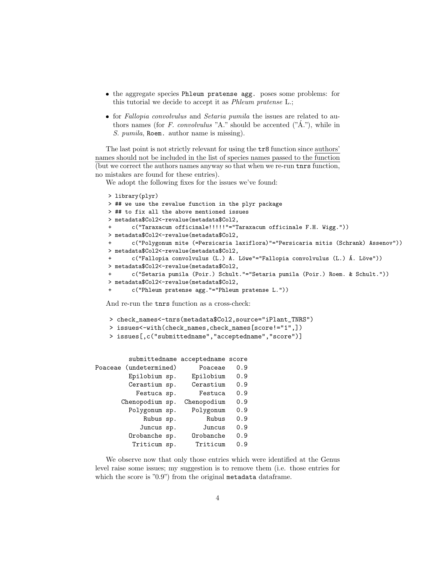- the aggregate species Phleum pratense agg. poses some problems: for this tutorial we decide to accept it as Phleum pratense L.;
- for Fallopia convolvulus and Setaria pumila the issues are related to authors names (for F. convolvulus "A." should be accented (" $\hat{A}$ ."), while in S. pumila, Roem. author name is missing).

The last point is not strictly relevant for using the tr8 function since authors' names should not be included in the list of species names passed to the function (but we correct the authors names anyway so that when we re-run tnrs function, no mistakes are found for these entries).

We adopt the following fixes for the issues we've found:

```
> library(plyr)
> ## we use the revalue function in the plyr package
> ## to fix all the above mentioned issues
> metadata$Col2<-revalue(metadata$Col2,
       + c("Taraxacum officinale!!!!!"="Taraxacum officinale F.H. Wigg."))
> metadata$Col2<-revalue(metadata$Col2,
       + c("Polygonum mite (=Persicaria laxiflora)"="Persicaria mitis (Schrank) Assenov"))
> metadata$Col2<-revalue(metadata$Col2,
       c("Fallopia convolvulus (L.) A. Löwe"="Fallopia convolvulus (L.) Á. Löve"))
> metadata$Col2<-revalue(metadata$Col2,
       + c("Setaria pumila (Poir.) Schult."="Setaria pumila (Poir.) Roem. & Schult."))
> metadata$Col2<-revalue(metadata$Col2,
+ c("Phleum pratense agg."="Phleum pratense L."))
```
And re-run the tnrs function as a cross-check:

> check\_names<-tnrs(metadata\$Col2,source="iPlant\_TNRS")

- > issues<-with(check\_names,check\_names[score!="1",])
- > issues[,c("submittedname","acceptedname","score")]

|         |                 |  | submittedname acceptedname score |     |
|---------|-----------------|--|----------------------------------|-----|
| Poaceae | (undetermined)  |  | Poaceae                          | 0.9 |
|         | Epilobium sp.   |  | Epilobium                        | 0.9 |
|         | Cerastium sp.   |  | Cerastium                        | 0.9 |
|         | Festuca sp.     |  | Festuca                          | 0.9 |
|         | Chenopodium sp. |  | Chenopodium                      | 0.9 |
|         | Polygonum sp.   |  | Polygonum                        | 0.9 |
|         | Rubus sp.       |  | Rubus                            | 0.9 |
|         | Juncus sp.      |  | Juncus                           | 0.9 |
|         | Orobanche sp.   |  | Orobanche                        | 0.9 |
|         | Triticum sp.    |  | Triticum                         | 0.9 |

We observe now that only those entries which were identified at the Genus level raise some issues; my suggestion is to remove them (i.e. those entries for which the score is "0.9") from the original metadata dataframe.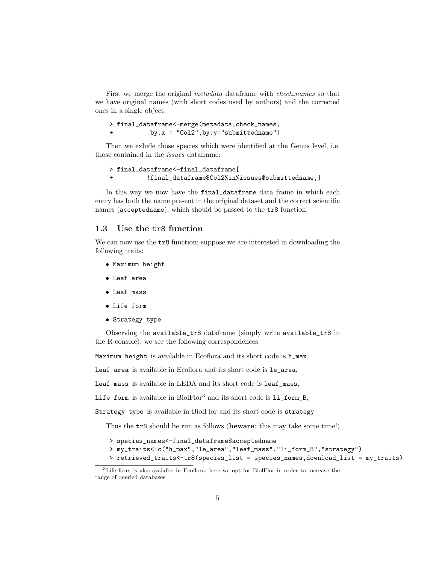First we merge the original *metadata* dataframe with *check\_names* so that we have original names (with short codes used by authors) and the corrected ones in a single object:

```
> final_dataframe<-merge(metadata,check_names,
+ by.x = "Col2",by.y="submittedname")
```
Then we exlude those species which were identified at the Genus level, i.e. those contained in the issues dataframe:

```
> final_dataframe<-final_dataframe[
+ !final_dataframe$Col2%in%issues$submittedname,]
```
In this way we now have the final\_dataframe data frame in which each entry has both the name present in the original dataset and the correct scientific names (acceptedname), which should be passed to the tr8 function.

#### 1.3 Use the tr8 function

We can now use the  $tr8$  function; suppose we are interested in downloading the following traits:

- Maximum height
- Leaf area
- Leaf mass
- Life form
- **Strategy type**

Observing the available\_tr8 dataframe (simply write available\_tr8 in the R console), we see the following correspondences:

Maximum height is available in Ecoflora and its short code is h\_max,

Leaf area is available in Ecoflora and its short code is le\_area,

Leaf mass is available in LEDA and its short code is leaf\_mass,

Life form is available in BiolFlor<sup>3</sup> and its short code is li\_form\_B,

Strategy type is available in BiolFlor and its short code is strategy

Thus the tr8 should be run as follows (beware: this may take some time!)

> species\_names<-final\_dataframe\$acceptedname

```
> my_traits<-c("h_max","le_area","leaf_mass","li_form_B","strategy")
> retrieved_traits<-tr8(species_list = species_names,download_list = my_traits)
```
<sup>3</sup>Life form is also avaialbe in Ecoflora; here we opt for BiolFlor in order to increase the range of queried databases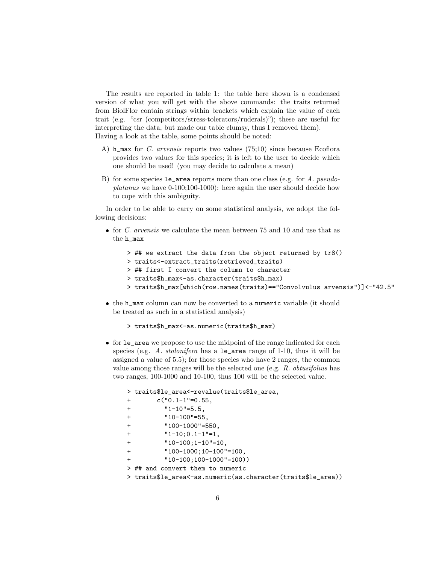The results are reported in table 1: the table here shown is a condensed version of what you will get with the above commands: the traits returned from BiolFlor contain strings within brackets which explain the value of each trait (e.g. "csr (competitors/stress-tolerators/ruderals)"); these are useful for interpreting the data, but made our table clumsy, thus I removed them). Having a look at the table, some points should be noted:

- A) h\_max for C. arvensis reports two values  $(75;10)$  since because Ecoflora provides two values for this species; it is left to the user to decide which one should be used! (you may decide to calculate a mean)
- B) for some species  $le_$ area reports more than one class (e.g. for A. pseudoplatanus we have 0-100;100-1000): here again the user should decide how to cope with this ambiguity.

In order to be able to carry on some statistical analysis, we adopt the following decisions:

- $\bullet$  for *C. arvensis* we calculate the mean between 75 and 10 and use that as the h\_max
	- > ## we extract the data from the object returned by tr8() > traits<-extract\_traits(retrieved\_traits) > ## first I convert the column to character > traits\$h\_max<-as.character(traits\$h\_max) > traits\$h\_max[which(row.names(traits)=="Convolvulus arvensis")]<-"42.5"
- the h\_max column can now be converted to a numeric variable (it should be treated as such in a statistical analysis)

```
> traits$h_max<-as.numeric(traits$h_max)
```
 for le\_area we propose to use the midpoint of the range indicated for each species (e.g. A. *stolonifera* has a le\_area range of 1-10, thus it will be assigned a value of 5.5); for those species who have 2 ranges, the common value among those ranges will be the selected one (e.g. R. obtusifolius has two ranges, 100-1000 and 10-100, thus 100 will be the selected value.

|     | > traits\$le_area<-revalue(traits\$le_area,                  |
|-----|--------------------------------------------------------------|
| $+$ | $c("0.1-1"=0.55,$                                            |
| $+$ | $"1 - 10" = 5.5$                                             |
| $+$ | $"10-100" = 55,$                                             |
| $+$ | $"100-1000" = 550.$                                          |
| $+$ | $"1-10;0.1-1" = 1,$                                          |
| $+$ | $"10-100;1-10" = 10,$                                        |
| $+$ | $"100-1000;10-100" = 100,$                                   |
| $+$ | $"10-100;100-1000" = 100)$                                   |
|     | $>$ ## and convert them to numeric                           |
|     | > traits\$le_area<-as.numeric(as.character(traits\$le_area)) |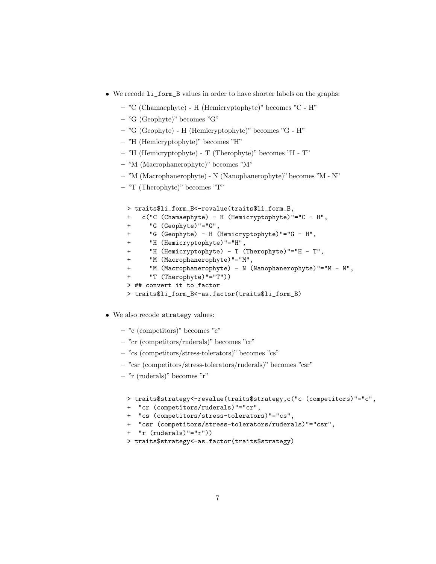- We recode li\_form\_B values in order to have shorter labels on the graphs:
	- "C (Chamaephyte) H (Hemicryptophyte)" becomes "C H"
	- "G (Geophyte)" becomes "G"
	- "G (Geophyte) H (Hemicryptophyte)" becomes "G H"
	- "H (Hemicryptophyte)" becomes "H"
	- "H (Hemicryptophyte) T (Therophyte)" becomes "H T"
	- "M (Macrophanerophyte)" becomes "M"
	- "M (Macrophanerophyte) N (Nanophanerophyte)" becomes "M N"
	- "T (Therophyte)" becomes "T"

```
> traits$li_form_B<-revalue(traits$li_form_B,
```
- + c("C (Chamaephyte) H (Hemicryptophyte)"="C H",
- + "G (Geophyte)"="G",
- + "G (Geophyte) H (Hemicryptophyte)"="G H",
- + "H (Hemicryptophyte)"="H",
- + "H (Hemicryptophyte) T (Therophyte)"="H T",
- + "M (Macrophanerophyte)"="M",
- + "M (Macrophanerophyte) N (Nanophanerophyte)"="M N",
- "T  $(Therefore)$ "="T"))
- > ## convert it to factor
- > traits\$li\_form\_B<-as.factor(traits\$li\_form\_B)
- We also recode strategy values:
	- "c (competitors)" becomes "c"
	- "cr (competitors/ruderals)" becomes "cr"
	- "cs (competitors/stress-tolerators)" becomes "cs"
	- "csr (competitors/stress-tolerators/ruderals)" becomes "csr"
	- "r (ruderals)" becomes "r"

```
> traits$strategy<-revalue(traits$strategy,c("c (competitors)"="c",
```
- + "cr (competitors/ruderals)"="cr",
- + "cs (competitors/stress-tolerators)"="cs",
- + "csr (competitors/stress-tolerators/ruderals)"="csr",
- + "r (ruderals)"="r"))
- > traits\$strategy<-as.factor(traits\$strategy)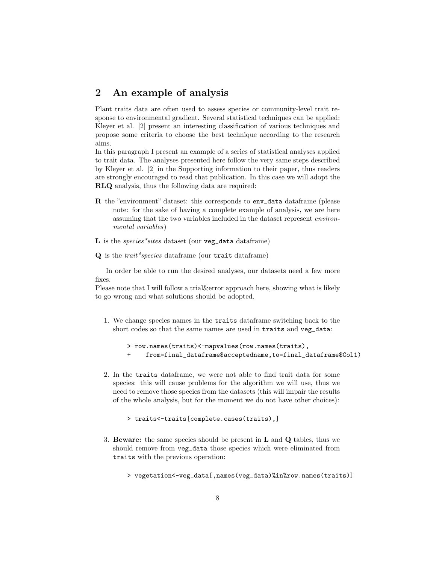## 2 An example of analysis

Plant traits data are often used to assess species or community-level trait response to environmental gradient. Several statistical techniques can be applied: Kleyer et al. [2] present an interesting classification of various techniques and propose some criteria to choose the best technique according to the research aims.

In this paragraph I present an example of a series of statistical analyses applied to trait data. The analyses presented here follow the very same steps described by Kleyer et al. [2] in the Supporting information to their paper, thus readers are strongly encouraged to read that publication. In this case we will adopt the RLQ analysis, thus the following data are required:

- R the "environment" dataset: this corresponds to env\_data dataframe (please note: for the sake of having a complete example of analysis, we are here assuming that the two variables included in the dataset represent environmental variables)
- $L$  is the *species*\*sites dataset (our veg\_data dataframe)
- $Q$  is the *trait\*species* dataframe (our trait dataframe)

In order be able to run the desired analyses, our datasets need a few more fixes.

Please note that I will follow a trial&error approach here, showing what is likely to go wrong and what solutions should be adopted.

1. We change species names in the traits dataframe switching back to the short codes so that the same names are used in traits and veg\_data:

```
> row.names(traits)<-mapvalues(row.names(traits),
+ from=final_dataframe$acceptedname,to=final_dataframe$Col1)
```
2. In the traits dataframe, we were not able to find trait data for some species: this will cause problems for the algorithm we will use, thus we need to remove those species from the datasets (this will impair the results of the whole analysis, but for the moment we do not have other choices):

```
> traits<-traits[complete.cases(traits),]
```
- 3. Beware: the same species should be present in  $\bf{L}$  and  $\bf{Q}$  tables, thus we should remove from veg\_data those species which were eliminated from traits with the previous operation:
	- > vegetation<-veg\_data[,names(veg\_data)%in%row.names(traits)]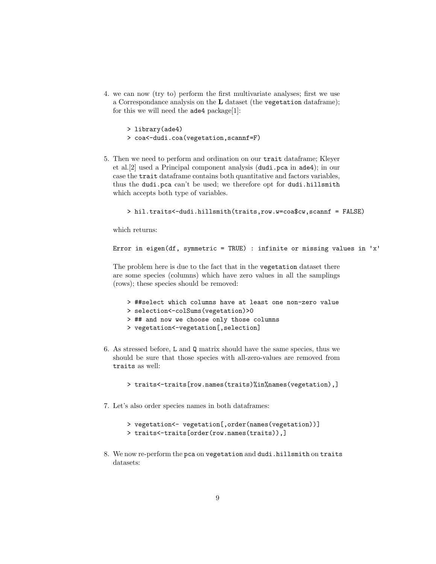4. we can now (try to) perform the first multivariate analyses; first we use a Correspondance analysis on the L dataset (the vegetation dataframe); for this we will need the  $ade4$  package[1]:

```
> library(ade4)
> coa<-dudi.coa(vegetation,scannf=F)
```
5. Then we need to perform and ordination on our trait dataframe; Kleyer et al.[2] used a Principal component analysis (dudi.pca in ade4); in our case the trait dataframe contains both quantitative and factors variables, thus the dudi.pca can't be used; we therefore opt for dudi.hillsmith which accepts both type of variables.

```
> hil.traits<-dudi.hillsmith(traits,row.w=coa$cw,scannf = FALSE)
```
which returns:

```
Error in eigen(df, symmetric = TRUE) : infinite or missing values in 'x'
```
The problem here is due to the fact that in the vegetation dataset there are some species (columns) which have zero values in all the samplings (rows); these species should be removed:

```
> ##select which columns have at least one non-zero value
> selection<-colSums(vegetation)>0
> ## and now we choose only those columns
> vegetation<-vegetation[,selection]
```
6. As stressed before, L and Q matrix should have the same species, thus we should be sure that those species with all-zero-values are removed from traits as well:

> traits<-traits[row.names(traits)%in%names(vegetation),]

- 7. Let's also order species names in both dataframes:
	- > vegetation<- vegetation[,order(names(vegetation))]
	- > traits<-traits[order(row.names(traits)),]
- 8. We now re-perform the pca on vegetation and dudi.hillsmith on traits datasets: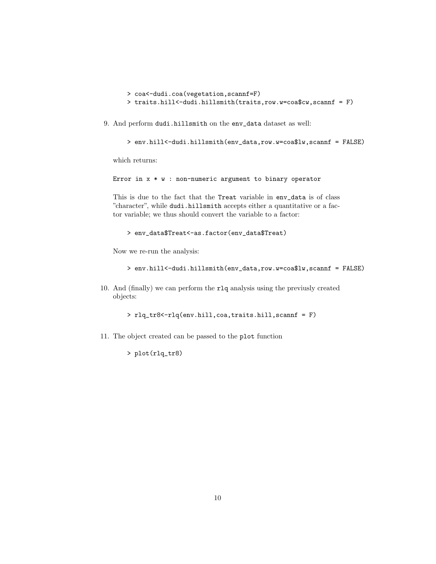- > coa<-dudi.coa(vegetation,scannf=F)
- > traits.hill<-dudi.hillsmith(traits,row.w=coa\$cw,scannf = F)
- 9. And perform dudi.hillsmith on the env\_data dataset as well:

```
> env.hill<-dudi.hillsmith(env_data,row.w=coa$lw,scannf = FALSE)
```
which returns:

```
Error in x * w : non-numeric argument to binary operator
```
This is due to the fact that the Treat variable in env\_data is of class "character", while dudi.hillsmith accepts either a quantitative or a factor variable; we thus should convert the variable to a factor:

```
> env_data$Treat<-as.factor(env_data$Treat)
```
Now we re-run the analysis:

```
> env.hill<-dudi.hillsmith(env_data,row.w=coa$lw,scannf = FALSE)
```
10. And (finally) we can perform the rlq analysis using the previusly created objects:

> rlq\_tr8<-rlq(env.hill,coa,traits.hill,scannf = F)

11. The object created can be passed to the plot function

> plot(rlq\_tr8)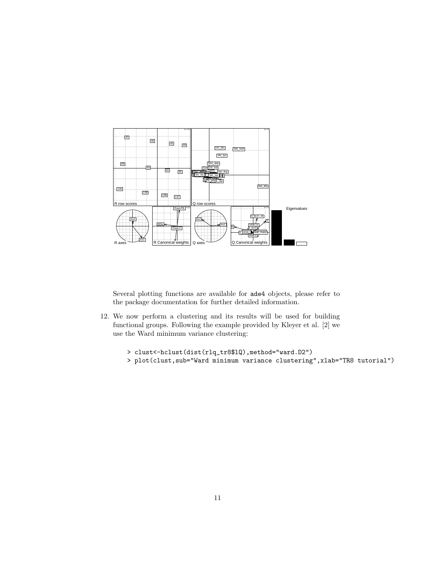

Several plotting functions are available for ade4 objects, please refer to the package documentation for further detailed information.

12. We now perform a clustering and its results will be used for building functional groups. Following the example provided by Kleyer et al. [2] we use the Ward minimum variance clustering:

```
> clust<-hclust(dist(rlq_tr8$lQ),method="ward.D2")
```
> plot(clust,sub="Ward minimum variance clustering",xlab="TR8 tutorial")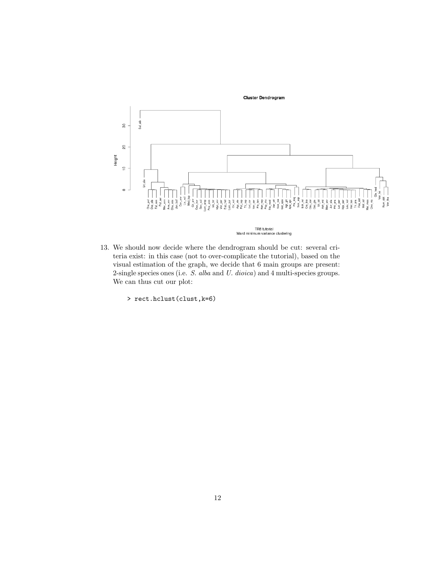Cluster Dendrogram



13. We should now decide where the dendrogram should be cut: several criteria exist: in this case (not to over-complicate the tutorial), based on the visual estimation of the graph, we decide that 6 main groups are present: 2-single species ones (i.e. S. alba and U. dioica) and 4 multi-species groups. We can thus cut our plot:

> rect.hclust(clust,k=6)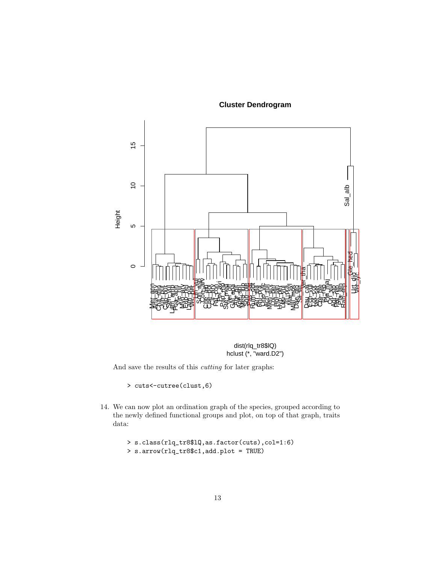**Cluster Dendrogram**





And save the results of this cutting for later graphs:

> cuts<-cutree(clust,6)

14. We can now plot an ordination graph of the species, grouped according to the newly defined functional groups and plot, on top of that graph, traits data:

```
> s.class(rlq_tr8$lQ,as.factor(cuts),col=1:6)
> s.arrow(rlq_tr8$c1,add.plot = TRUE)
```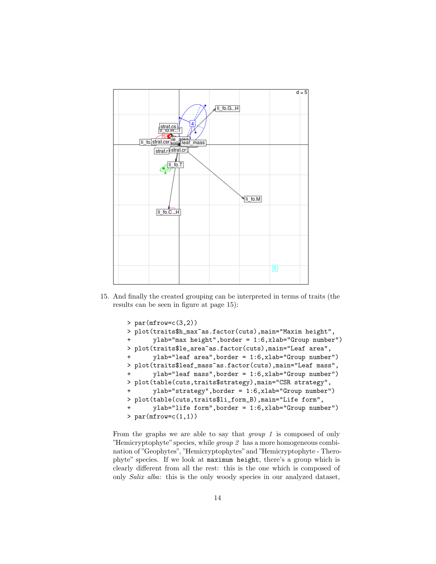

15. And finally the created grouping can be interpreted in terms of traits (the results can be seen in figure at page 15):

```
> par(mfrow=c(3,2))
> plot(traits$h_max~as.factor(cuts),main="Maxim height",
+ ylab="max height",border = 1:6,xlab="Group number")
> plot(traits$le_area~as.factor(cuts),main="Leaf area",
       ylab="leaf area", border = 1:6, xlab="Group number")
> plot(traits$leaf_mass~as.factor(cuts),main="Leaf mass",
+ ylab="leaf mass",border = 1:6,xlab="Group number")
> plot(table(cuts,traits$strategy),main="CSR strategy",
+ ylab="strategy",border = 1:6,xlab="Group number")
> plot(table(cuts,traits$li_form_B),main="Life form",
       ylab="life form", border = 1:6, xlab="Group number")
> par(mfrow=c(1,1))
```
From the graphs we are able to say that *group* 1 is composed of only "Hemicryptophyte" species, while  $group 2$  has a more homogeneous combination of "Geophytes", "Hemicryptophytes"and "Hemicryptophyte - Therophyte" species. If we look at maximum height, there's a group which is clearly different from all the rest: this is the one which is composed of only Salix alba: this is the only woody species in our analyzed dataset,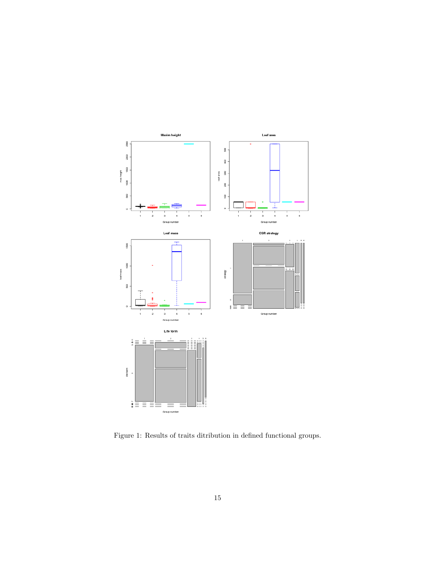

Figure 1: Results of traits ditribution in defined functional groups.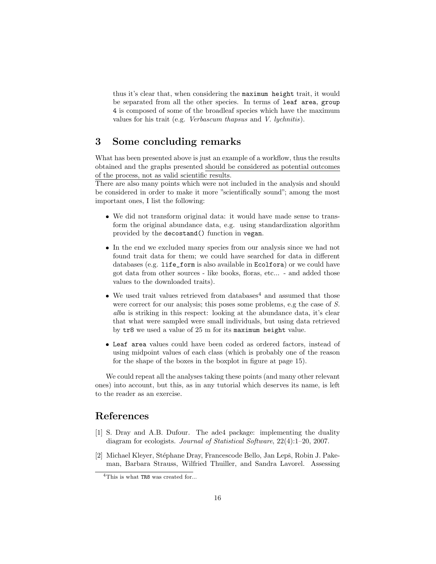thus it's clear that, when considering the maximum height trait, it would be separated from all the other species. In terms of leaf area, group 4 is composed of some of the broadleaf species which have the maximum values for his trait (e.g. Verbascum thapsus and V. lychnitis).

## 3 Some concluding remarks

What has been presented above is just an example of a workflow, thus the results obtained and the graphs presented should be considered as potential outcomes of the process, not as valid scientific results.

There are also many points which were not included in the analysis and should be considered in order to make it more "scientifically sound"; among the most important ones, I list the following:

- We did not transform original data: it would have made sense to transform the original abundance data, e.g. using standardization algorithm provided by the decostand() function in vegan.
- In the end we excluded many species from our analysis since we had not found trait data for them; we could have searched for data in different databases (e.g. life\_form is also available in Ecolfora) or we could have got data from other sources - like books, floras, etc... - and added those values to the downloaded traits).
- $\bullet\,$  We used trait values retrieved from databases  $\!4\,$  and assumed that those were correct for our analysis; this poses some problems, e.g the case of S. alba is striking in this respect: looking at the abundance data, it's clear that what were sampled were small individuals, but using data retrieved by tr8 we used a value of 25 m for its maximum height value.
- Leaf area values could have been coded as ordered factors, instead of using midpoint values of each class (which is probably one of the reason for the shape of the boxes in the boxplot in figure at page 15).

We could repeat all the analyses taking these points (and many other relevant ones) into account, but this, as in any tutorial which deserves its name, is left to the reader as an exercise.

### References

- [1] S. Dray and A.B. Dufour. The ade4 package: implementing the duality diagram for ecologists. Journal of Statistical Software, 22(4):1–20, 2007.
- [2] Michael Kleyer, Stéphane Dray, Francescode Bello, Jan Lepš, Robin J. Pakeman, Barbara Strauss, Wilfried Thuiller, and Sandra Lavorel. Assessing

<sup>&</sup>lt;sup>4</sup>This is what TR8 was created for...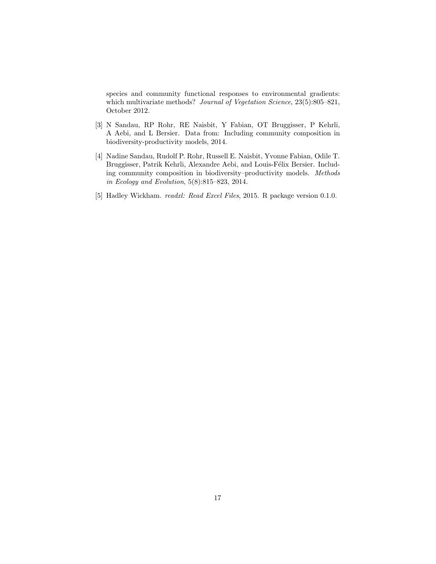species and community functional responses to environmental gradients: which multivariate methods? Journal of Vegetation Science, 23(5):805-821, October 2012.

- [3] N Sandau, RP Rohr, RE Naisbit, Y Fabian, OT Bruggisser, P Kehrli, A Aebi, and L Bersier. Data from: Including community composition in biodiversity-productivity models, 2014.
- [4] Nadine Sandau, Rudolf P. Rohr, Russell E. Naisbit, Yvonne Fabian, Odile T. Bruggisser, Patrik Kehrli, Alexandre Aebi, and Louis-Félix Bersier. Including community composition in biodiversity–productivity models. Methods in Ecology and Evolution, 5(8):815–823, 2014.
- [5] Hadley Wickham. readxl: Read Excel Files, 2015. R package version 0.1.0.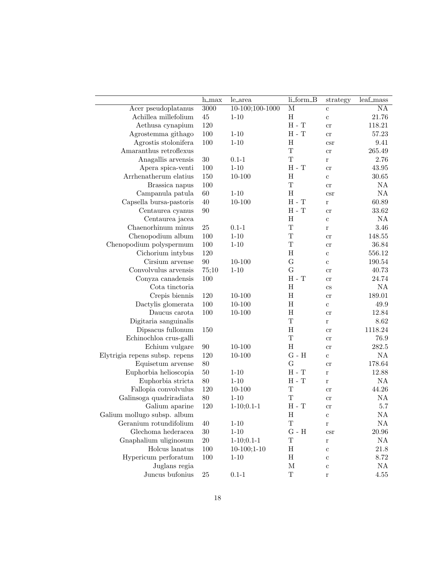|                                | $h_{max}$ | le_area         | li_form_B                 | strategy             | $\overline{\text{leaf\_mass}}$ |
|--------------------------------|-----------|-----------------|---------------------------|----------------------|--------------------------------|
| Acer pseudoplatanus            | 3000      | 10-100;100-1000 | $\overline{\mathbf{M}}$   | $\mathbf c$          | $\overline{NA}$                |
| Achillea millefolium           | $45\,$    | $1 - 10$        | H                         | $\mathbf{c}$         | 21.76                          |
| Aethusa cynapium               | 120       |                 | $H - T$                   | $\rm cr$             | 118.21                         |
| Agrostemma githago             | 100       | $1 - 10$        | $H - T$                   | $\rm cr$             | 57.23                          |
| Agrostis stolonifera           | 100       | $1 - 10$        | H                         | csr                  | 9.41                           |
| Amaranthus retroflexus         |           |                 | T                         | cr                   | 265.49                         |
| Anagallis arvensis             | $30\,$    | $0.1 - 1$       | T                         | $\bf r$              | 2.76                           |
| Apera spica-venti              | 100       | $1 - 10$        | $H - T$                   | $\rm cr$             | 43.95                          |
| Arrhenatherum elatius          | 150       | $10 - 100$      | $H_{\rm}$                 | $\mathbf c$          | 30.65                          |
| Brassica napus                 | 100       |                 | $\mathbf T$               | $_{\rm cr}$          | NA                             |
| Campanula patula               | 60        | $1 - 10$        | H                         | <b>CST</b>           | NA                             |
| Capsella bursa-pastoris        | 40        | $10 - 100$      | $H - T$                   | $\bf r$              | 60.89                          |
| Centaurea cyanus               | $90\,$    |                 | $H - T$                   | cr                   | 33.62                          |
| Centaurea jacea                |           |                 | H                         | $\mathbf c$          | NA                             |
| Chaenorhinum minus             | $25\,$    | $0.1 - 1$       | $\mathbf T$               | $\bf r$              | 3.46                           |
| Chenopodium album              | 100       | $1 - 10$        | $\mathbf T$               | cr                   | 148.55                         |
| Chenopodium polyspermum        | 100       | $1 - 10$        | $\mathbf T$               | cr                   | 36.84                          |
| Cichorium intybus              | 120       |                 | $\boldsymbol{\mathrm{H}}$ | $\mathbf c$          | 556.12                         |
| Cirsium arvense                | $90\,$    | $10 - 100$      | G                         | $\mathbf c$          | 190.54                         |
| Convolvulus arvensis           | 75;10     | $1 - 10$        | G                         | $_{\rm cr}$          | 40.73                          |
| Conyza canadensis              | 100       |                 | $H - T$                   | cr                   | 24.74                          |
| Cota tinctoria                 |           |                 | H                         | $\rm{cs}$            | NA                             |
| Crepis biennis                 | 120       | $10 - 100$      | $\, {\rm H}$              | cr                   | 189.01                         |
| Dactylis glomerata             | 100       | $10 - 100$      | $\, {\rm H}$              | $\mathbf c$          | 49.9                           |
| Daucus carota                  | 100       | $10 - 100$      | $\rm H$                   | cr                   | 12.84                          |
| Digitaria sanguinalis          |           |                 | $\mathbf T$               | $\bf r$              | 8.62                           |
| Dipsacus fullonum              | 150       |                 | $\, {\rm H}$              | cr                   | 1118.24                        |
| Echinochloa crus-galli         |           |                 | $\mathbf T$               | cr                   | 76.9                           |
| Echium vulgare                 | $90\,$    | $10 - 100$      | $\boldsymbol{\mathrm{H}}$ | cr                   | 282.5                          |
| Elytrigia repens subsp. repens | 120       | 10-100          | $G - H$                   | $\mathbf c$          | NA                             |
| Equisetum arvense              | 80        |                 | G                         | cr                   | 178.64                         |
| Euphorbia helioscopia          | $50\,$    | $1 - 10$        | $H - T$                   | $\bf r$              | 12.88                          |
| Euphorbia stricta              | $80\,$    | $1 - 10$        | $H - T$                   | $\bf r$              | NA                             |
| Fallopia convolvulus           | 120       | 10-100          | $\mathbf T$               | cr                   | 44.26                          |
| Galinsoga quadriradiata        | $80\,$    | $1 - 10$        | $\mathbf T$               | cr                   | NA                             |
| Galium aparine                 | 120       | $1-10;0.1-1$    | $H - T$                   | cr                   | 5.7                            |
| Galium mollugo subsp. album    |           |                 | $\,$ H                    | $\mathbf c$          | NA                             |
| Geranium rotundifolium         | 40        | $1 - 10$        | $\mathbf T$               | r                    | $\mathrm{NA}$                  |
| Glechoma hederacea             | $30\,$    | $1 - 10$        | ${\rm G}$ - ${\rm H}$     | $\operatorname{csr}$ | $20.96\,$                      |
| Gnaphalium uliginosum          | $20\,$    | $1-10;0.1-1$    | T                         | $\bf r$              | NA                             |
| Holcus lanatus                 | 100       | $10-100;1-10$   | H                         | $\mathbf c$          | 21.8                           |
| Hypericum perforatum           | 100       | $1 - 10$        | $\, {\rm H}$              | $\mathbf c$          | 8.72                           |
| Juglans regia                  |           |                 | $\mathbf M$               | $\mathbf{c}$         | $\mathrm{NA}$                  |
| Juncus bufonius                | $25\,$    | $0.1 - 1$       | $\mathbf T$               | r                    | 4.55                           |
|                                |           |                 |                           |                      |                                |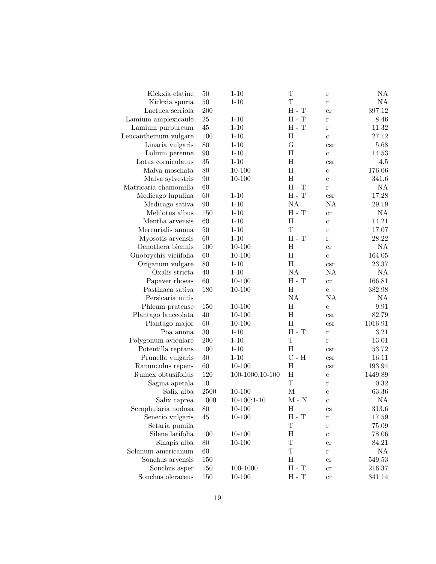| Kickxia elatine       | 50     | $1 - 10$        | T                           | $\bf r$                    | NA            |
|-----------------------|--------|-----------------|-----------------------------|----------------------------|---------------|
| Kickxia spuria        | 50     | $1 - 10$        | T                           | $\bf r$                    | NA            |
| Lactuca serriola      | 200    |                 | $H - T$                     | cr                         | 397.12        |
| Lamium amplexicaule   | 25     | $1 - 10$        | $H - T$                     | $\bf r$                    | 8.46          |
| Lamium purpureum      | 45     | $1 - 10$        | $H - T$                     | $\bf r$                    | 11.32         |
| Leucanthemum vulgare  | 100    | $1 - 10$        | H                           | $\mathbf c$                | 27.12         |
| Linaria vulgaris      | 80     | $1 - 10$        | G                           | $\operatorname{csr}$       | 5.68          |
| Lolium perenne        | 90     | $1 - 10$        | $\rm H$                     | $\mathbf c$                | 14.53         |
| Lotus corniculatus    | 35     | $1 - 10$        | $\rm H$                     | $\operatorname{csr}$       | 4.5           |
| Malva moschata        | 80     | $10 - 100$      | $\rm H$                     | $\mathbf c$                | 176.06        |
| Malva sylvestris      | 90     | $10 - 100$      | $\rm H$                     | $\mathbf c$                | 341.6         |
| Matricaria chamomilla | 60     |                 | $H - T$                     | $\bf r$                    | NA            |
| Medicago lupulina     | 60     | $1 - 10$        | $H - T$                     | $\operatorname{csr}$       | 17.28         |
| Medicago sativa       | 90     | $1 - 10$        | NA                          | NA                         | 29.19         |
| Melilotus albus       | 150    | $1 - 10$        | $H - T$                     | cr                         | NA            |
| Mentha arvensis       | 60     | $1 - 10$        | $\rm H$                     | $\mathbf{c}$               | 14.21         |
| Mercurialis annua     | 50     | $1 - 10$        | T                           | $\bf r$                    | 17.07         |
| Myosotis arvensis     | 60     | $1 - 10$        | $H - T$                     | $\bf r$                    | 28.22         |
| Oenothera biennis     | 100    | $10 - 100$      | H                           | cr                         | NA            |
| Onobrychis viciifolia | 60     | $10 - 100$      | $\boldsymbol{\mathrm{H}}$   | $\rm c$                    | 164.05        |
| Origanum vulgare      | 80     | $1 - 10$        | H                           | $\operatorname{csr}$       | $23.37\,$     |
| Oxalis stricta        | 40     | $1 - 10$        | NA                          | NA                         | NA            |
| Papaver rhoeas        | 60     | $10 - 100$      | $H - T$                     | cr                         | 166.81        |
| Pastinaca sativa      | 180    | $10 - 100$      | $\rm H$                     | $\rm c$                    | 382.98        |
| Persicaria mitis      |        |                 | NA                          | NA                         | NA            |
| Phleum pratense       | 150    | $10 - 100$      | H                           | $\mathbf c$                | 9.91          |
| Plantago lanceolata   | 40     | $10 - 100$      | H                           | $\operatorname{csr}$       | 82.79         |
| Plantago major        | 60     | $10 - 100$      | $\rm H$                     | $\operatorname{csr}$       | 1016.91       |
| Poa annua             | 30     | $1 - 10$        | $H - T$                     | $\bf r$                    | $3.21\,$      |
| Polygonum aviculare   | 200    | $1 - 10$        | T                           | $\bf r$                    | 13.01         |
| Potentilla reptans    | 100    | $1 - 10$        | H                           | $\operatorname{csr}$       | 53.72         |
| Prunella vulgaris     | 30     | $1 - 10$        | $\mathrm{C}$ - $\mathrm{H}$ | $\operatorname{csr}$       | 16.11         |
| Ranunculus repens     | 60     | $10 - 100$      | $\rm H$                     | $\operatorname{csr}$       | 193.94        |
| Rumex obtusifolius    | 120    | 100-1000;10-100 | $\rm H$                     | $\mathbf c$                | 1449.89       |
| Sagina apetala        | 10     |                 | $\mathbf T$                 | $\bf r$                    | 0.32          |
| Salix alba            | 2500   | $10 - 100$      | $\mathbf M$                 | $\mathbf c$                | 63.36         |
| Salix caprea          | 1000   | $10-100;1-10$   | $M - N$                     | $\mathbf c$                | $\mathrm{NA}$ |
| Scrophularia nodosa   | $80\,$ | $10 - 100$      | H                           | $\mathop{\rm CS}\nolimits$ | $313.6\,$     |
| Senecio vulgaris      | 45     | 10-100          | H - T                       | r                          | 17.59         |
| Setaria pumila        |        |                 | T                           | $\bf r$                    | 75.09         |
| Silene latifolia      | 100    | $10 - 100$      | Η                           | $\mathbf c$                | 78.06         |
| Sinapis alba          | 80     | $10 - 100$      | $\mathbf T$                 | <sub>c</sub> r             | 84.21         |
| Solanum americanum    | 60     |                 | $\mathbf T$                 | r                          | NA            |
| Sonchus arvensis      | 150    |                 | H                           | cr                         | 549.53        |
| Sonchus asper         | 150    | 100-1000        | $H - T$                     | <sub>c</sub> r             | 216.37        |
| Sonchus oleraceus     | 150    | $10 - 100$      | $H - T$                     | cr                         | 341.14        |
|                       |        |                 |                             |                            |               |